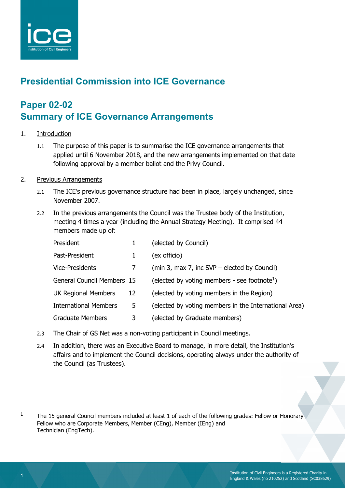

# **Presidential Commission into ICE Governance**

# **Paper 02-02 Summary of ICE Governance Arrangements**

- 1. Introduction
	- 1.1 The purpose of this paper is to summarise the ICE governance arrangements that applied until 6 November 2018, and the new arrangements implemented on that date following approval by a member ballot and the Privy Council.
- 2. Previous Arrangements
	- 2.1 The ICE's previous governance structure had been in place, largely unchanged, since November 2007.
	- 2.2 In the previous arrangements the Council was the Trustee body of the Institution, meeting 4 times a year (including the Annual Strategy Meeting). It comprised 44 members made up of:

| President                         |    | (elected by Council)                                     |
|-----------------------------------|----|----------------------------------------------------------|
| Past-President                    |    | (ex officio)                                             |
| Vice-Presidents                   | 7  | (min 3, max 7, inc SVP – elected by Council)             |
| <b>General Council Members 15</b> |    | (elected by voting members - see footnote <sup>1</sup> ) |
| <b>UK Regional Members</b>        | 12 | (elected by voting members in the Region)                |
| <b>International Members</b>      | 5  | (elected by voting members in the International Area)    |
| <b>Graduate Members</b>           | 3  | (elected by Graduate members)                            |

- 2.3 The Chair of GS Net was a non-voting participant in Council meetings.
- 2.4 In addition, there was an Executive Board to manage, in more detail, the Institution's affairs and to implement the Council decisions, operating always under the authority of the Council (as Trustees).

l

<sup>1</sup> The 15 general Council members included at least 1 of each of the following grades: Fellow or Honorary Fellow who are Corporate Members, Member (CEng), Member (IEng) and Technician (EngTech).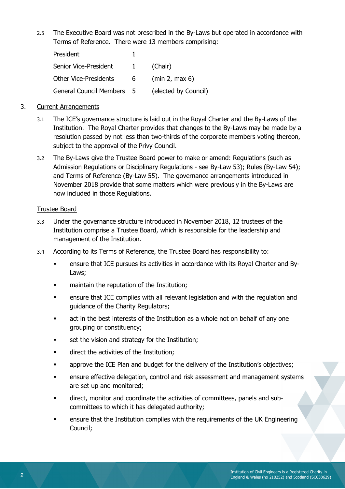2.5 The Executive Board was not prescribed in the By-Laws but operated in accordance with Terms of Reference. There were 13 members comprising:

| President                    |              |                      |
|------------------------------|--------------|----------------------|
| Senior Vice-President        | $\mathbf{1}$ | (Chair)              |
| <b>Other Vice-Presidents</b> | - 6 -        | (min 2, max 6)       |
| General Council Members 5    |              | (elected by Council) |

### 3. Current Arrangements

- 3.1 The ICE's governance structure is laid out in the Royal Charter and the By-Laws of the Institution. The Royal Charter provides that changes to the By-Laws may be made by a resolution passed by not less than two-thirds of the corporate members voting thereon, subject to the approval of the Privy Council.
- 3.2 The By-Laws give the Trustee Board power to make or amend: Regulations (such as Admission Regulations or Disciplinary Regulations - see By-Law 53); Rules (By-Law 54); and Terms of Reference (By-Law 55). The governance arrangements introduced in November 2018 provide that some matters which were previously in the By-Laws are now included in those Regulations.

#### Trustee Board

- 3.3 Under the governance structure introduced in November 2018, 12 trustees of the Institution comprise a Trustee Board, which is responsible for the leadership and management of the Institution.
- 3.4 According to its Terms of Reference, the Trustee Board has responsibility to:
	- ensure that ICE pursues its activities in accordance with its Royal Charter and By-Laws;
	- maintain the reputation of the Institution;
	- ensure that ICE complies with all relevant legislation and with the regulation and guidance of the Charity Regulators;
	- act in the best interests of the Institution as a whole not on behalf of any one grouping or constituency;
	- set the vision and strategy for the Institution;
	- direct the activities of the Institution;
	- approve the ICE Plan and budget for the delivery of the Institution's objectives;
	- ensure effective delegation, control and risk assessment and management systems are set up and monitored;
	- direct, monitor and coordinate the activities of committees, panels and subcommittees to which it has delegated authority;
	- ensure that the Institution complies with the requirements of the UK Engineering Council;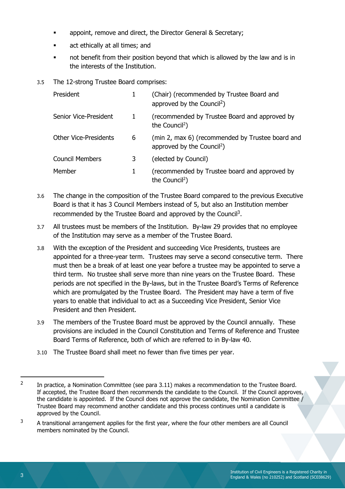- appoint, remove and direct, the Director General & Secretary;
- act ethically at all times; and
- not benefit from their position beyond that which is allowed by the law and is in the interests of the Institution.
- 3.5 The 12-strong Trustee Board comprises:

| President                    | 1 | (Chair) (recommended by Trustee Board and<br>approved by the Council <sup>2</sup> )        |
|------------------------------|---|--------------------------------------------------------------------------------------------|
| Senior Vice-President        | 1 | (recommended by Trustee Board and approved by<br>the Council <sup>2</sup> )                |
| <b>Other Vice-Presidents</b> | 6 | (min 2, max 6) (recommended by Trustee board and<br>approved by the Council <sup>2</sup> ) |
| <b>Council Members</b>       | 3 | (elected by Council)                                                                       |
| Member                       | 1 | (recommended by Trustee board and approved by<br>the Council <sup>2</sup> )                |

- 3.6 The change in the composition of the Trustee Board compared to the previous Executive Board is that it has 3 Council Members instead of 5, but also an Institution member recommended by the Trustee Board and approved by the Council<sup>3</sup>.
- 3.7 All trustees must be members of the Institution. By-law 29 provides that no employee of the Institution may serve as a member of the Trustee Board.
- 3.8 With the exception of the President and succeeding Vice Presidents, trustees are appointed for a three-year term. Trustees may serve a second consecutive term. There must then be a break of at least one year before a trustee may be appointed to serve a third term. No trustee shall serve more than nine years on the Trustee Board. These periods are not specified in the By-laws, but in the Trustee Board's Terms of Reference which are promulgated by the Trustee Board. The President may have a term of five years to enable that individual to act as a Succeeding Vice President, Senior Vice President and then President.
- 3.9 The members of the Trustee Board must be approved by the Council annually. These provisions are included in the Council Constitution and Terms of Reference and Trustee Board Terms of Reference, both of which are referred to in By-law 40.
- 3.10 The Trustee Board shall meet no fewer than five times per year.

-

 $\overline{2}$  In practice, a Nomination Committee (see para 3.11) makes a recommendation to the Trustee Board. If accepted, the Trustee Board then recommends the candidate to the Council. If the Council approves, the candidate is appointed. If the Council does not approve the candidate, the Nomination Committee / Trustee Board may recommend another candidate and this process continues until a candidate is approved by the Council.

<sup>3</sup> A transitional arrangement applies for the first year, where the four other members are all Council members nominated by the Council.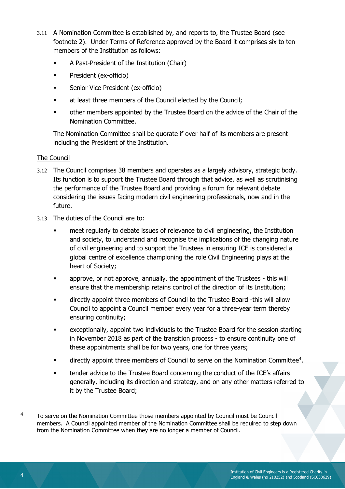- 3.11 A Nomination Committee is established by, and reports to, the Trustee Board (see footnote 2). Under Terms of Reference approved by the Board it comprises six to ten members of the Institution as follows:
	- A Past-President of the Institution (Chair)
	- President (ex-officio)
	- Senior Vice President (ex-officio)
	- at least three members of the Council elected by the Council;
	- other members appointed by the Trustee Board on the advice of the Chair of the Nomination Committee.

The Nomination Committee shall be quorate if over half of its members are present including the President of the Institution.

### The Council

- 3.12 The Council comprises 38 members and operates as a largely advisory, strategic body. Its function is to support the Trustee Board through that advice, as well as scrutinising the performance of the Trustee Board and providing a forum for relevant debate considering the issues facing modern civil engineering professionals, now and in the future.
- 3.13 The duties of the Council are to:
	- meet regularly to debate issues of relevance to civil engineering, the Institution and society, to understand and recognise the implications of the changing nature of civil engineering and to support the Trustees in ensuring ICE is considered a global centre of excellence championing the role Civil Engineering plays at the heart of Society;
	- approve, or not approve, annually, the appointment of the Trustees this will ensure that the membership retains control of the direction of its Institution;
	- directly appoint three members of Council to the Trustee Board -this will allow Council to appoint a Council member every year for a three-year term thereby ensuring continuity;
	- exceptionally, appoint two individuals to the Trustee Board for the session starting in November 2018 as part of the transition process - to ensure continuity one of these appointments shall be for two years, one for three years;
	- $\blacksquare$  directly appoint three members of Council to serve on the Nomination Committee<sup>4</sup>.
	- tender advice to the Trustee Board concerning the conduct of the ICE's affairs generally, including its direction and strategy, and on any other matters referred to it by the Trustee Board;

l

<sup>4</sup> To serve on the Nomination Committee those members appointed by Council must be Council members. A Council appointed member of the Nomination Committee shall be required to step down from the Nomination Committee when they are no longer a member of Council.